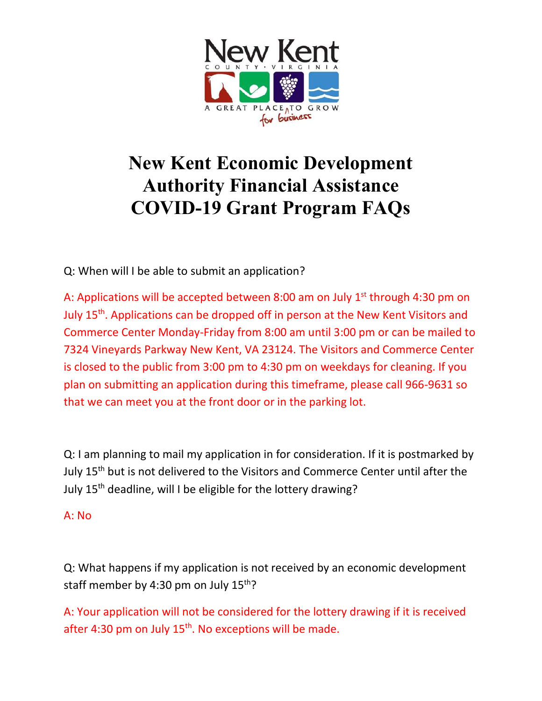

## New Kent Economic Development Authority Financial Assistance COVID-19 Grant Program FAQs

Q: When will I be able to submit an application?

A: Applications will be accepted between 8:00 am on July  $1<sup>st</sup>$  through 4:30 pm on July 15<sup>th</sup>. Applications can be dropped off in person at the New Kent Visitors and Commerce Center Monday-Friday from 8:00 am until 3:00 pm or can be mailed to 7324 Vineyards Parkway New Kent, VA 23124. The Visitors and Commerce Center is closed to the public from 3:00 pm to 4:30 pm on weekdays for cleaning. If you plan on submitting an application during this timeframe, please call 966-9631 so that we can meet you at the front door or in the parking lot.

Q: I am planning to mail my application in for consideration. If it is postmarked by July 15<sup>th</sup> but is not delivered to the Visitors and Commerce Center until after the July 15<sup>th</sup> deadline, will I be eligible for the lottery drawing?

## A: No

Q: What happens if my application is not received by an economic development staff member by 4:30 pm on July  $15^{th}$ ?

A: Your application will not be considered for the lottery drawing if it is received after 4:30 pm on July  $15<sup>th</sup>$ . No exceptions will be made.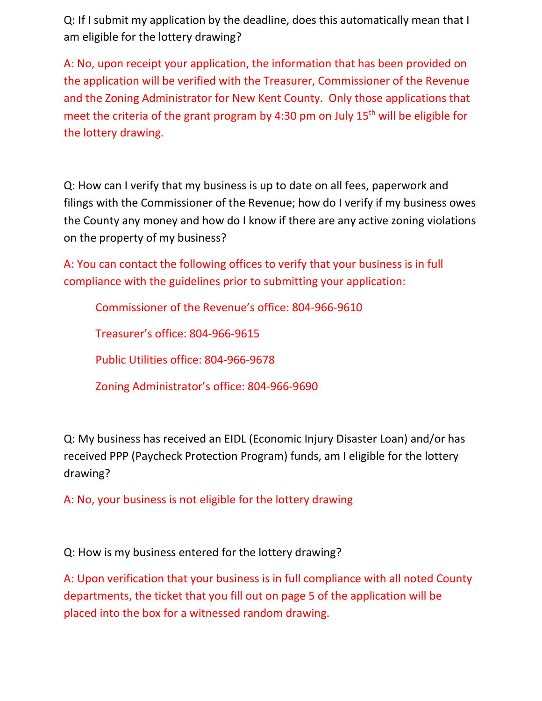Q: If I submit my application by the deadline, does this automatically mean that I am eligible for the lottery drawing?

A: No, upon receipt your application, the information that has been provided on the application will be verified with the Treasurer, Commissioner of the Revenue and the Zoning Administrator for New Kent County. Only those applications that meet the criteria of the grant program by 4:30 pm on July  $15<sup>th</sup>$  will be eligible for the lottery drawing.

Q: How can I verify that my business is up to date on all fees, paperwork and filings with the Commissioner of the Revenue; how do I verify if my business owes the County any money and how do I know if there are any active zoning violations on the property of my business?

A: You can contact the following offices to verify that your business is in full compliance with the guidelines prior to submitting your application:

Commissioner of the Revenue's office: 804-966-9610

Treasurer's office: 804-966-9615

Public Utilities office: 804-966-9678

Zoning Administrator's office: 804-966-9690

Q: My business has received an EIDL (Economic Injury Disaster Loan) and/or has received PPP (Paycheck Protection Program) funds, am I eligible for the lottery drawing?

A: No, your business is not eligible for the lottery drawing

Q: How is my business entered for the lottery drawing?

A: Upon verification that your business is in full compliance with all noted County departments, the ticket that you fill out on page 5 of the application will be placed into the box for a witnessed random drawing.